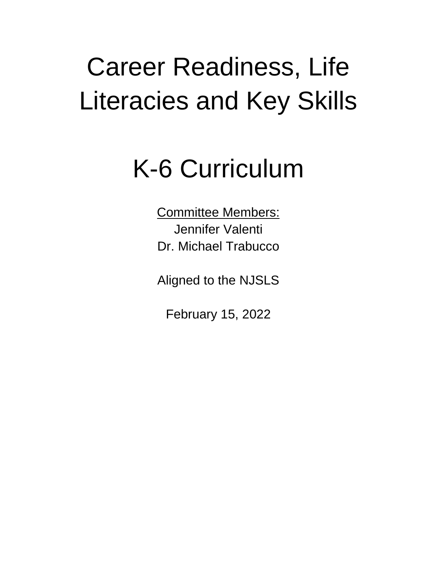# Career Readiness, Life Literacies and Key Skills

## K-6 Curriculum

Committee Members: Jennifer Valenti Dr. Michael Trabucco

Aligned to the NJSLS

February 15, 2022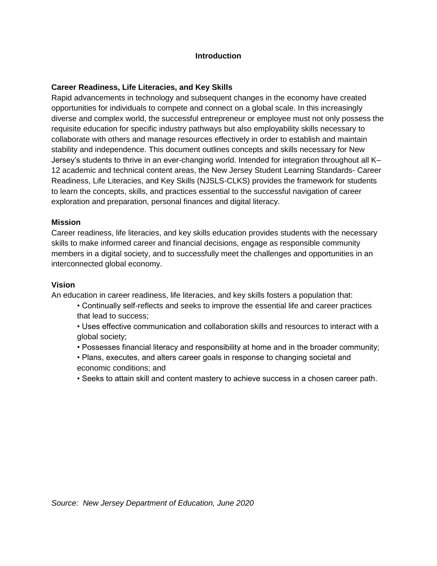#### **Introduction**

#### **Career Readiness, Life Literacies, and Key Skills**

Rapid advancements in technology and subsequent changes in the economy have created opportunities for individuals to compete and connect on a global scale. In this increasingly diverse and complex world, the successful entrepreneur or employee must not only possess the requisite education for specific industry pathways but also employability skills necessary to collaborate with others and manage resources effectively in order to establish and maintain stability and independence. This document outlines concepts and skills necessary for New Jersey's students to thrive in an ever-changing world. Intended for integration throughout all K– 12 academic and technical content areas, the New Jersey Student Learning Standards- Career Readiness, Life Literacies, and Key Skills (NJSLS-CLKS) provides the framework for students to learn the concepts, skills, and practices essential to the successful navigation of career exploration and preparation, personal finances and digital literacy.

#### **Mission**

Career readiness, life literacies, and key skills education provides students with the necessary skills to make informed career and financial decisions, engage as responsible community members in a digital society, and to successfully meet the challenges and opportunities in an interconnected global economy.

#### **Vision**

An education in career readiness, life literacies, and key skills fosters a population that:

- Continually self-reflects and seeks to improve the essential life and career practices that lead to success;
- Uses effective communication and collaboration skills and resources to interact with a global society;
- Possesses financial literacy and responsibility at home and in the broader community;
- Plans, executes, and alters career goals in response to changing societal and economic conditions; and
- Seeks to attain skill and content mastery to achieve success in a chosen career path.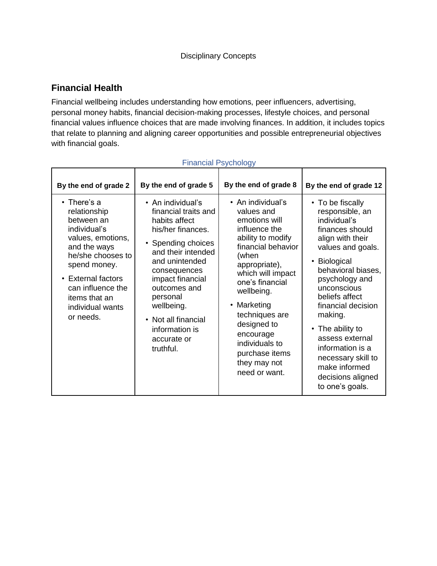#### **Financial Health**

Financial wellbeing includes understanding how emotions, peer influencers, advertising, personal money habits, financial decision-making processes, lifestyle choices, and personal financial values influence choices that are made involving finances. In addition, it includes topics that relate to planning and aligning career opportunities and possible entrepreneurial objectives with financial goals.

| By the end of grade 2                                                                                                                                                                                                                  | By the end of grade 5                                                                                                                                                                                                                                                                                    | By the end of grade 8                                                                                                                                                                                                                                                                                                                  | By the end of grade 12                                                                                                                                                                                                                                                                                                                                                            |
|----------------------------------------------------------------------------------------------------------------------------------------------------------------------------------------------------------------------------------------|----------------------------------------------------------------------------------------------------------------------------------------------------------------------------------------------------------------------------------------------------------------------------------------------------------|----------------------------------------------------------------------------------------------------------------------------------------------------------------------------------------------------------------------------------------------------------------------------------------------------------------------------------------|-----------------------------------------------------------------------------------------------------------------------------------------------------------------------------------------------------------------------------------------------------------------------------------------------------------------------------------------------------------------------------------|
| $\cdot$ There's a<br>relationship<br>between an<br>individual's<br>values, emotions,<br>and the ways<br>he/she chooses to<br>spend money.<br>• External factors<br>can influence the<br>items that an<br>individual wants<br>or needs. | $\bullet$ An individual's<br>financial traits and<br>habits affect<br>his/her finances.<br>• Spending choices<br>and their intended<br>and unintended<br>consequences<br>impact financial<br>outcomes and<br>personal<br>wellbeing.<br>• Not all financial<br>information is<br>accurate or<br>truthful. | $\bullet$ An individual's<br>values and<br>emotions will<br>influence the<br>ability to modify<br>financial behavior<br>(when<br>appropriate),<br>which will impact<br>one's financial<br>wellbeing.<br>• Marketing<br>techniques are<br>designed to<br>encourage<br>individuals to<br>purchase items<br>they may not<br>need or want. | • To be fiscally<br>responsible, an<br>individual's<br>finances should<br>align with their<br>values and goals.<br>Biological<br>behavioral biases,<br>psychology and<br>unconscious<br>beliefs affect<br>financial decision<br>making.<br>• The ability to<br>assess external<br>information is a<br>necessary skill to<br>make informed<br>decisions aligned<br>to one's goals. |

#### Financial Psychology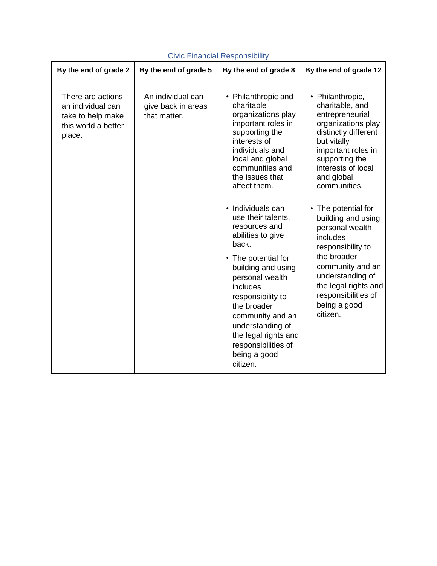| By the end of grade 2                                                                        | By the end of grade 5                                   | By the end of grade 8                                                                                                                                                                                                                                                                                                            | By the end of grade 12                                                                                                                                                                                                        |
|----------------------------------------------------------------------------------------------|---------------------------------------------------------|----------------------------------------------------------------------------------------------------------------------------------------------------------------------------------------------------------------------------------------------------------------------------------------------------------------------------------|-------------------------------------------------------------------------------------------------------------------------------------------------------------------------------------------------------------------------------|
| There are actions<br>an individual can<br>take to help make<br>this world a better<br>place. | An individual can<br>give back in areas<br>that matter. | • Philanthropic and<br>charitable<br>organizations play<br>important roles in<br>supporting the<br>interests of<br>individuals and<br>local and global<br>communities and<br>the issues that<br>affect them.                                                                                                                     | • Philanthropic,<br>charitable, and<br>entrepreneurial<br>organizations play<br>distinctly different<br>but vitally<br>important roles in<br>supporting the<br>interests of local<br>and global<br>communities.               |
|                                                                                              |                                                         | • Individuals can<br>use their talents,<br>resources and<br>abilities to give<br>back.<br>• The potential for<br>building and using<br>personal wealth<br><i>includes</i><br>responsibility to<br>the broader<br>community and an<br>understanding of<br>the legal rights and<br>responsibilities of<br>being a good<br>citizen. | The potential for<br>building and using<br>personal wealth<br>includes<br>responsibility to<br>the broader<br>community and an<br>understanding of<br>the legal rights and<br>responsibilities of<br>being a good<br>citizen. |

#### Civic Financial Responsibility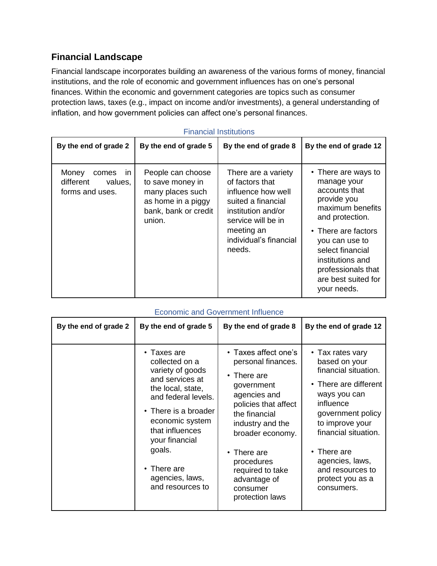#### **Financial Landscape**

Financial landscape incorporates building an awareness of the various forms of money, financial institutions, and the role of economic and government influences has on one's personal finances. Within the economic and government categories are topics such as consumer protection laws, taxes (e.g., impact on income and/or investments), a general understanding of inflation, and how government policies can affect one's personal finances.

| By the end of grade 2                                                     | By the end of grade 5                                                                                             | By the end of grade 8                                                                                                                                                            | By the end of grade 12                                                                                                                                                                                                                                 |
|---------------------------------------------------------------------------|-------------------------------------------------------------------------------------------------------------------|----------------------------------------------------------------------------------------------------------------------------------------------------------------------------------|--------------------------------------------------------------------------------------------------------------------------------------------------------------------------------------------------------------------------------------------------------|
| Money<br>comes<br>$\mathsf{I}$<br>different<br>values.<br>forms and uses. | People can choose<br>to save money in<br>many places such<br>as home in a piggy<br>bank, bank or credit<br>union. | There are a variety<br>of factors that<br>influence how well<br>suited a financial<br>institution and/or<br>service will be in<br>meeting an<br>individual's financial<br>needs. | • There are ways to<br>manage your<br>accounts that<br>provide you<br>maximum benefits<br>and protection.<br>• There are factors<br>you can use to<br>select financial<br>institutions and<br>professionals that<br>are best suited for<br>your needs. |

#### Financial Institutions

| By the end of grade 2 | By the end of grade 5                                                                                                                                                                                                                                            | By the end of grade 8                                                                                                                                                                                                                                                          | By the end of grade 12                                                                                                                                                                                                                                                        |
|-----------------------|------------------------------------------------------------------------------------------------------------------------------------------------------------------------------------------------------------------------------------------------------------------|--------------------------------------------------------------------------------------------------------------------------------------------------------------------------------------------------------------------------------------------------------------------------------|-------------------------------------------------------------------------------------------------------------------------------------------------------------------------------------------------------------------------------------------------------------------------------|
|                       | • Taxes are<br>collected on a<br>variety of goods<br>and services at<br>the local, state,<br>and federal levels.<br>• There is a broader<br>economic system<br>that influences<br>your financial<br>goals.<br>• There are<br>agencies, laws,<br>and resources to | • Taxes affect one's<br>personal finances.<br>$\cdot$ There are<br>government<br>agencies and<br>policies that affect<br>the financial<br>industry and the<br>broader economy.<br>• There are<br>procedures<br>required to take<br>advantage of<br>consumer<br>protection laws | • Tax rates vary<br>based on your<br>financial situation.<br>• There are different<br>ways you can<br>influence<br>government policy<br>to improve your<br>financial situation.<br>$\cdot$ There are<br>agencies, laws,<br>and resources to<br>protect you as a<br>consumers. |

#### Economic and Government Influence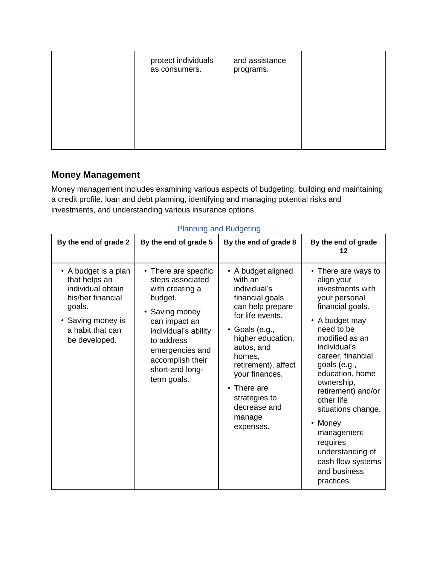| protect individuals<br>as consumers. | and assistance<br>programs. |  |
|--------------------------------------|-----------------------------|--|
|                                      |                             |  |

#### **Money Management**

Money management includes examining various aspects of budgeting, building and maintaining a credit profile, loan and debt planning, identifying and managing potential risks and investments, and understanding various insurance options.

| By the end of grade 2                                                                                                                               | By the end of grade 5                                                                                                                                                                                                  | By the end of grade 8                                                                                                                                                                                                                                                                                    | By the end of grade<br>12                                                                                                                                                                                                                                                                                                                                                                                |
|-----------------------------------------------------------------------------------------------------------------------------------------------------|------------------------------------------------------------------------------------------------------------------------------------------------------------------------------------------------------------------------|----------------------------------------------------------------------------------------------------------------------------------------------------------------------------------------------------------------------------------------------------------------------------------------------------------|----------------------------------------------------------------------------------------------------------------------------------------------------------------------------------------------------------------------------------------------------------------------------------------------------------------------------------------------------------------------------------------------------------|
| • A budget is a plan<br>that helps an<br>individual obtain<br>his/her financial<br>goals.<br>• Saving money is<br>a habit that can<br>be developed. | • There are specific<br>steps associated<br>with creating a<br>budget.<br>Saving money<br>can impact an<br>individual's ability<br>to address<br>emergencies and<br>accomplish their<br>short-and long-<br>term goals. | • A budget aligned<br>with an<br>individual's<br>financial goals<br>can help prepare<br>for life events.<br>Goals (e.g.,<br>$\bullet$<br>higher education,<br>autos, and<br>homes,<br>retirement), affect<br>your finances.<br>$\cdot$ There are<br>strategies to<br>decrease and<br>manage<br>expenses. | • There are ways to<br>align your<br>investments with<br>your personal<br>financial goals.<br>• A budget may<br>need to be<br>modified as an<br>individual's<br>career, financial<br>goals (e.g.,<br>education, home<br>ownership,<br>retirement) and/or<br>other life<br>situations change.<br>• Money<br>management<br>requires<br>understanding of<br>cash flow systems<br>and business<br>practices. |

#### Planning and Budgeting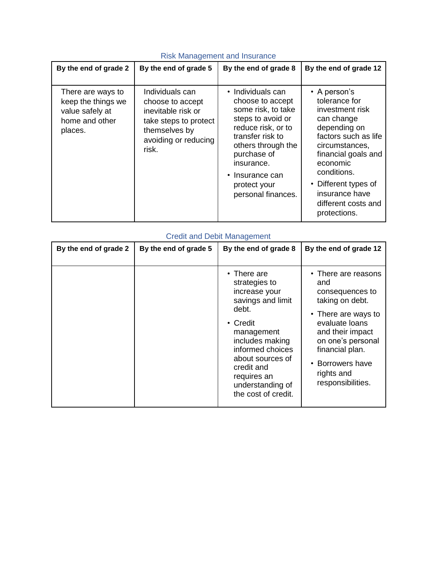| By the end of grade 2                                                                   | By the end of grade 5                                                                                                                | By the end of grade 8                                                                                                                                                                                                                  | By the end of grade 12                                                                                                                                                                                                                                            |
|-----------------------------------------------------------------------------------------|--------------------------------------------------------------------------------------------------------------------------------------|----------------------------------------------------------------------------------------------------------------------------------------------------------------------------------------------------------------------------------------|-------------------------------------------------------------------------------------------------------------------------------------------------------------------------------------------------------------------------------------------------------------------|
| There are ways to<br>keep the things we<br>value safely at<br>home and other<br>places. | Individuals can<br>choose to accept<br>inevitable risk or<br>take steps to protect<br>themselves by<br>avoiding or reducing<br>risk. | • Individuals can<br>choose to accept<br>some risk, to take<br>steps to avoid or<br>reduce risk, or to<br>transfer risk to<br>others through the<br>purchase of<br>insurance.<br>• Insurance can<br>protect your<br>personal finances. | $\cdot$ A person's<br>tolerance for<br>investment risk<br>can change<br>depending on<br>factors such as life<br>circumstances,<br>financial goals and<br>economic<br>conditions.<br>• Different types of<br>insurance have<br>different costs and<br>protections. |

#### Risk Management and Insurance

#### Credit and Debit Management

| By the end of grade 2 | By the end of grade 5 | By the end of grade 8                                                                                                                                                                                                                          | By the end of grade 12                                                                                                                                                                                                       |
|-----------------------|-----------------------|------------------------------------------------------------------------------------------------------------------------------------------------------------------------------------------------------------------------------------------------|------------------------------------------------------------------------------------------------------------------------------------------------------------------------------------------------------------------------------|
|                       |                       | $\cdot$ There are<br>strategies to<br>increase your<br>savings and limit<br>debt.<br>• Credit<br>management<br>includes making<br>informed choices<br>about sources of<br>credit and<br>requires an<br>understanding of<br>the cost of credit. | • There are reasons<br>and<br>consequences to<br>taking on debt.<br>• There are ways to<br>evaluate loans<br>and their impact<br>on one's personal<br>financial plan.<br>• Borrowers have<br>rights and<br>responsibilities. |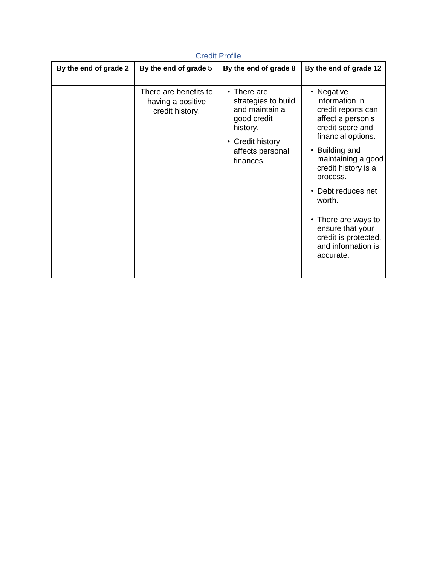| <b>Credit Profile</b> |                                                               |                                                                                                                                            |                                                                                                                                                                                                                                                                                                                                  |  |
|-----------------------|---------------------------------------------------------------|--------------------------------------------------------------------------------------------------------------------------------------------|----------------------------------------------------------------------------------------------------------------------------------------------------------------------------------------------------------------------------------------------------------------------------------------------------------------------------------|--|
| By the end of grade 2 | By the end of grade 5                                         | By the end of grade 8                                                                                                                      | By the end of grade 12                                                                                                                                                                                                                                                                                                           |  |
|                       | There are benefits to<br>having a positive<br>credit history. | $\cdot$ There are<br>strategies to build<br>and maintain a<br>good credit<br>history.<br>• Credit history<br>affects personal<br>finances. | • Negative<br>information in<br>credit reports can<br>affect a person's<br>credit score and<br>financial options.<br>• Building and<br>maintaining a good<br>credit history is a<br>process.<br>Debt reduces net<br>worth.<br>• There are ways to<br>ensure that your<br>credit is protected,<br>and information is<br>accurate. |  |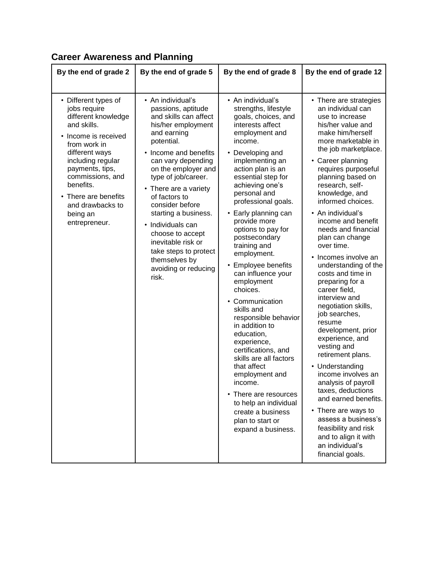#### **By the end of grade 2 By the end of grade 5 By the end of grade 8 By the end of grade 12** • Different types of jobs require different knowledge and skills. • Income is received from work in different ways including regular payments, tips, commissions, and benefits. • There are benefits and drawbacks to being an entrepreneur. • An individual's passions, aptitude and skills can affect his/her employment and earning potential. • Income and benefits can vary depending on the employer and type of job/career. • There are a variety of factors to consider before starting a business. • Individuals can choose to accept inevitable risk or take steps to protect themselves by avoiding or reducing risk. • An individual's strengths, lifestyle goals, choices, and interests affect employment and income. • Developing and implementing an action plan is an essential step for achieving one's personal and professional goals. • Early planning can provide more options to pay for postsecondary training and employment. • Employee benefits can influence your employment choices. • Communication skills and responsible behavior in addition to education, experience, certifications, and skills are all factors that affect employment and income. • There are resources to help an individual create a business plan to start or expand a business. • There are strategies an individual can use to increase his/her value and make him/herself more marketable in the job marketplace. • Career planning requires purposeful planning based on research, selfknowledge, and informed choices. • An individual's income and benefit needs and financial plan can change over time. • Incomes involve an understanding of the costs and time in preparing for a career field, interview and negotiation skills, job searches, resume development, prior experience, and vesting and retirement plans. • Understanding income involves an analysis of payroll taxes, deductions and earned benefits. • There are ways to assess a business's feasibility and risk and to align it with an individual's financial goals.

#### **Career Awareness and Planning**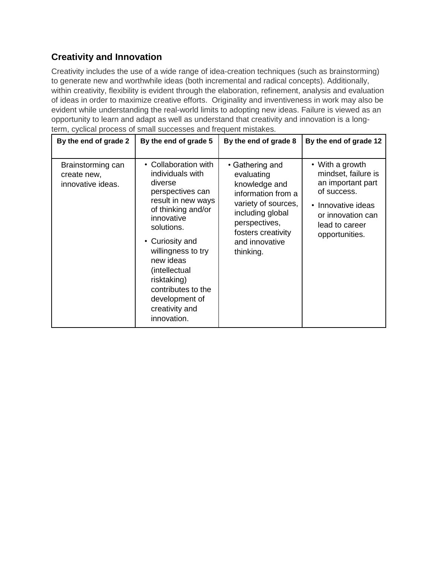#### **Creativity and Innovation**

Creativity includes the use of a wide range of idea-creation techniques (such as brainstorming) to generate new and worthwhile ideas (both incremental and radical concepts). Additionally, within creativity, flexibility is evident through the elaboration, refinement, analysis and evaluation of ideas in order to maximize creative efforts. Originality and inventiveness in work may also be evident while understanding the real-world limits to adopting new ideas. Failure is viewed as an opportunity to learn and adapt as well as understand that creativity and innovation is a longterm, cyclical process of small successes and frequent mistakes.

| By the end of grade 2                                 | By the end of grade 5                                                                                                                                                                                                                                                                                          | By the end of grade 8                                                                                                                                                                 | By the end of grade 12                                                                                                                                    |
|-------------------------------------------------------|----------------------------------------------------------------------------------------------------------------------------------------------------------------------------------------------------------------------------------------------------------------------------------------------------------------|---------------------------------------------------------------------------------------------------------------------------------------------------------------------------------------|-----------------------------------------------------------------------------------------------------------------------------------------------------------|
| Brainstorming can<br>create new,<br>innovative ideas. | • Collaboration with<br>individuals with<br>diverse<br>perspectives can<br>result in new ways<br>of thinking and/or<br>innovative<br>solutions.<br>• Curiosity and<br>willingness to try<br>new ideas<br>(intellectual<br>risktaking)<br>contributes to the<br>development of<br>creativity and<br>innovation. | • Gathering and<br>evaluating<br>knowledge and<br>information from a<br>variety of sources,<br>including global<br>perspectives,<br>fosters creativity<br>and innovative<br>thinking. | • With a growth<br>mindset, failure is<br>an important part<br>of success.<br>• Innovative ideas<br>or innovation can<br>lead to career<br>opportunities. |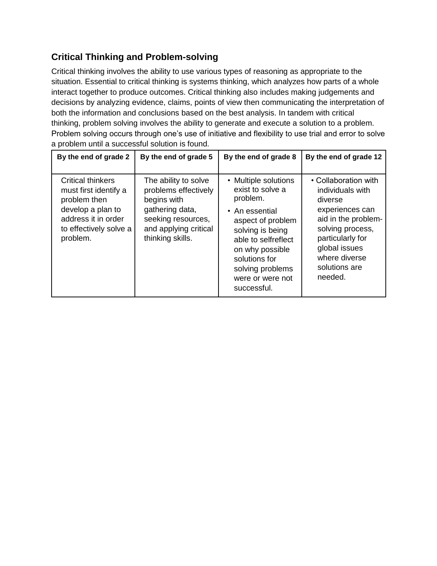### **Critical Thinking and Problem-solving**

Critical thinking involves the ability to use various types of reasoning as appropriate to the situation. Essential to critical thinking is systems thinking, which analyzes how parts of a whole interact together to produce outcomes. Critical thinking also includes making judgements and decisions by analyzing evidence, claims, points of view then communicating the interpretation of both the information and conclusions based on the best analysis. In tandem with critical thinking, problem solving involves the ability to generate and execute a solution to a problem. Problem solving occurs through one's use of initiative and flexibility to use trial and error to solve a problem until a successful solution is found.

| By the end of grade 2                                                                                                                               | By the end of grade 5                                                                                                                             | By the end of grade 8                                                                                                                                                                                                             | By the end of grade 12                                                                                                                                                                              |
|-----------------------------------------------------------------------------------------------------------------------------------------------------|---------------------------------------------------------------------------------------------------------------------------------------------------|-----------------------------------------------------------------------------------------------------------------------------------------------------------------------------------------------------------------------------------|-----------------------------------------------------------------------------------------------------------------------------------------------------------------------------------------------------|
| <b>Critical thinkers</b><br>must first identify a<br>problem then<br>develop a plan to<br>address it in order<br>to effectively solve a<br>problem. | The ability to solve<br>problems effectively<br>begins with<br>gathering data,<br>seeking resources,<br>and applying critical<br>thinking skills. | • Multiple solutions<br>exist to solve a<br>problem.<br>• An essential<br>aspect of problem<br>solving is being<br>able to selfreflect<br>on why possible<br>solutions for<br>solving problems<br>were or were not<br>successful. | • Collaboration with<br>individuals with<br>diverse<br>experiences can<br>aid in the problem-<br>solving process,<br>particularly for<br>global issues<br>where diverse<br>solutions are<br>needed. |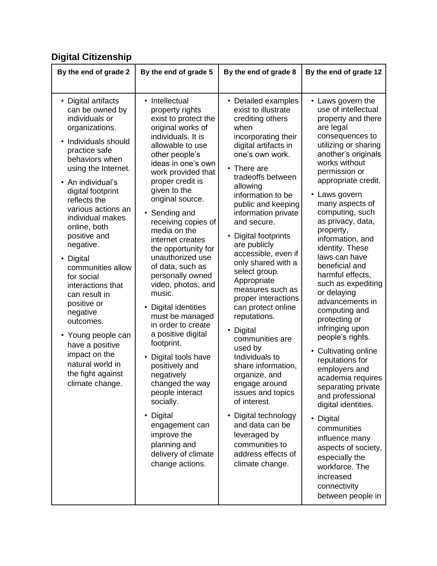## **Digital Citizenship**

| • Digital artifacts<br>• Intellectual<br>• Detailed examples<br>• Laws govern the<br>use of intellectual<br>can be owned by<br>exist to illustrate<br>property rights<br>individuals or<br>exist to protect the<br>crediting others<br>organizations.<br>original works of<br>are legal<br>when<br>individuals. It is<br>consequences to<br>incorporating their<br>Individuals should<br>allowable to use<br>digital artifacts in<br>practice safe<br>one's own work.<br>other people's<br>behaviors when<br>works without<br>ideas in one's own<br>• There are                                                                                                                                                                                                                                                                                                                                                                                                                                                                                                                                                                                                                                                                                                                                                                                                                                                                                                                                                                                                                                                                                                                                                                                                                                                                                                                                                                                                                                                                                                                                                                                                                                 | By the end of grade 2 | By the end of grade 5 | By the end of grade 8 | By the end of grade 12                                                                                                                               |
|-------------------------------------------------------------------------------------------------------------------------------------------------------------------------------------------------------------------------------------------------------------------------------------------------------------------------------------------------------------------------------------------------------------------------------------------------------------------------------------------------------------------------------------------------------------------------------------------------------------------------------------------------------------------------------------------------------------------------------------------------------------------------------------------------------------------------------------------------------------------------------------------------------------------------------------------------------------------------------------------------------------------------------------------------------------------------------------------------------------------------------------------------------------------------------------------------------------------------------------------------------------------------------------------------------------------------------------------------------------------------------------------------------------------------------------------------------------------------------------------------------------------------------------------------------------------------------------------------------------------------------------------------------------------------------------------------------------------------------------------------------------------------------------------------------------------------------------------------------------------------------------------------------------------------------------------------------------------------------------------------------------------------------------------------------------------------------------------------------------------------------------------------------------------------------------------------|-----------------------|-----------------------|-----------------------|------------------------------------------------------------------------------------------------------------------------------------------------------|
| tradeoffs between<br>appropriate credit.<br>proper credit is<br>• An individual's<br>allowing<br>given to the<br>digital footprint<br>• Laws govern<br>information to be<br>original source.<br>reflects the<br>many aspects of<br>public and keeping<br>various actions an<br>computing, such<br>information private<br>Sending and<br>$\bullet$<br>individual makes<br>as privacy, data,<br>receiving copies of<br>and secure.<br>online, both<br>media on the<br>property,<br>positive and<br>• Digital footprints<br>information, and<br>internet creates<br>negative.<br>are publicly<br>identity. These<br>the opportunity for<br>accessible, even if<br>laws can have<br>unauthorized use<br>• Digital<br>only shared with a<br>beneficial and<br>of data, such as<br>communities allow<br>select group.<br>harmful effects,<br>personally owned<br>for social<br>Appropriate<br>video, photos, and<br>interactions that<br>measures such as<br>or delaying<br>music.<br>can result in<br>proper interactions<br>advancements in<br>positive or<br>Digital identities<br>can protect online<br>computing and<br>negative<br>must be managed<br>reputations.<br>protecting or<br>outcomes.<br>in order to create<br>infringing upon<br>• Digital<br>a positive digital<br>• Young people can<br>people's rights.<br>communities are<br>footprint.<br>have a positive<br>used by<br><b>Cultivating online</b><br>impact on the<br>Individuals to<br>Digital tools have<br>reputations for<br>natural world in<br>positively and<br>share information,<br>employers and<br>the fight against<br>negatively<br>organize, and<br>climate change.<br>changed the way<br>engage around<br>separating private<br>people interact<br>issues and topics<br>and professional<br>socially.<br>of interest.<br>digital identities.<br>Digital<br>Digital technology<br>$\bullet$<br>$\bullet$<br>• Digital<br>and data can be<br>engagement can<br>communities<br>improve the<br>leveraged by<br>influence many<br>planning and<br>communities to<br>delivery of climate<br>address effects of<br>especially the<br>change actions.<br>climate change.<br>workforce. The<br>increased<br>connectivity | using the Internet.   | work provided that    |                       | property and there<br>utilizing or sharing<br>another's originals<br>permission or<br>such as expediting<br>academia requires<br>aspects of society, |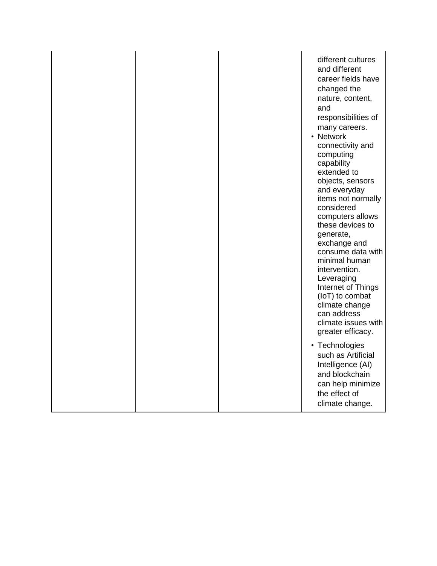|  | different cultures<br>and different<br>career fields have<br>changed the<br>nature, content,<br>and<br>responsibilities of<br>many careers.<br>• Network<br>connectivity and<br>computing<br>capability<br>extended to<br>objects, sensors<br>and everyday<br>items not normally<br>considered<br>computers allows<br>these devices to<br>generate,<br>exchange and<br>consume data with<br>minimal human<br>intervention.<br>Leveraging<br>Internet of Things<br>(IoT) to combat<br>climate change<br>can address<br>climate issues with<br>greater efficacy. |
|--|----------------------------------------------------------------------------------------------------------------------------------------------------------------------------------------------------------------------------------------------------------------------------------------------------------------------------------------------------------------------------------------------------------------------------------------------------------------------------------------------------------------------------------------------------------------|
|  | • Technologies<br>such as Artificial<br>Intelligence (AI)<br>and blockchain<br>can help minimize<br>the effect of<br>climate change.                                                                                                                                                                                                                                                                                                                                                                                                                           |
|  |                                                                                                                                                                                                                                                                                                                                                                                                                                                                                                                                                                |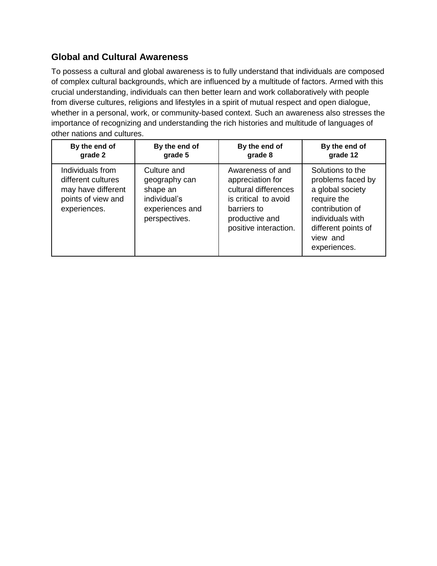#### **Global and Cultural Awareness**

To possess a cultural and global awareness is to fully understand that individuals are composed of complex cultural backgrounds, which are influenced by a multitude of factors. Armed with this crucial understanding, individuals can then better learn and work collaboratively with people from diverse cultures, religions and lifestyles in a spirit of mutual respect and open dialogue, whether in a personal, work, or community-based context. Such an awareness also stresses the importance of recognizing and understanding the rich histories and multitude of languages of other nations and cultures.

| By the end of                                                                                      | By the end of                                                                                | By the end of                                                                                                                                  | By the end of                                                                                                                                                      |
|----------------------------------------------------------------------------------------------------|----------------------------------------------------------------------------------------------|------------------------------------------------------------------------------------------------------------------------------------------------|--------------------------------------------------------------------------------------------------------------------------------------------------------------------|
| grade 2                                                                                            | grade 5                                                                                      | grade 8                                                                                                                                        | grade 12                                                                                                                                                           |
| Individuals from<br>different cultures<br>may have different<br>points of view and<br>experiences. | Culture and<br>geography can<br>shape an<br>individual's<br>experiences and<br>perspectives. | Awareness of and<br>appreciation for<br>cultural differences<br>is critical to avoid<br>barriers to<br>productive and<br>positive interaction. | Solutions to the<br>problems faced by<br>a global society<br>require the<br>contribution of<br>individuals with<br>different points of<br>view and<br>experiences. |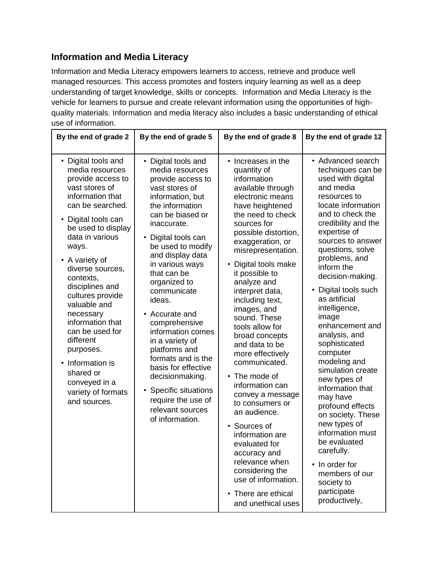#### **Information and Media Literacy**

Information and Media Literacy empowers learners to access, retrieve and produce well managed resources. This access promotes and fosters inquiry learning as well as a deep understanding of target knowledge, skills or concepts. Information and Media Literacy is the vehicle for learners to pursue and create relevant information using the opportunities of highquality materials. Information and media literacy also includes a basic understanding of ethical use of information.

| By the end of grade 2                                                                                                                                                                                                                                                                                                                                                                                                                                                          | By the end of grade 5                                                                                                                                                                                                                                                                                                                                                                                                                                                                                                                                                    | By the end of grade 8                                                                                                                                                                                                                                                                                                                                                                                                                                                                                                                                                                                                                                                                                                       | By the end of grade 12                                                                                                                                                                                                                                                                                                                                                                                                                                                                                                                                                                                                                                                                                 |
|--------------------------------------------------------------------------------------------------------------------------------------------------------------------------------------------------------------------------------------------------------------------------------------------------------------------------------------------------------------------------------------------------------------------------------------------------------------------------------|--------------------------------------------------------------------------------------------------------------------------------------------------------------------------------------------------------------------------------------------------------------------------------------------------------------------------------------------------------------------------------------------------------------------------------------------------------------------------------------------------------------------------------------------------------------------------|-----------------------------------------------------------------------------------------------------------------------------------------------------------------------------------------------------------------------------------------------------------------------------------------------------------------------------------------------------------------------------------------------------------------------------------------------------------------------------------------------------------------------------------------------------------------------------------------------------------------------------------------------------------------------------------------------------------------------------|--------------------------------------------------------------------------------------------------------------------------------------------------------------------------------------------------------------------------------------------------------------------------------------------------------------------------------------------------------------------------------------------------------------------------------------------------------------------------------------------------------------------------------------------------------------------------------------------------------------------------------------------------------------------------------------------------------|
| • Digital tools and<br>media resources<br>provide access to<br>vast stores of<br>information that<br>can be searched.<br>• Digital tools can<br>be used to display<br>data in various<br>ways.<br>• A variety of<br>diverse sources,<br>contexts,<br>disciplines and<br>cultures provide<br>valuable and<br>necessary<br>information that<br>can be used for<br>different<br>purposes.<br>• Information is<br>shared or<br>conveyed in a<br>variety of formats<br>and sources. | • Digital tools and<br>media resources<br>provide access to<br>vast stores of<br>information, but<br>the information<br>can be biased or<br>inaccurate.<br>Digital tools can<br>$\bullet$<br>be used to modify<br>and display data<br>in various ways<br>that can be<br>organized to<br>communicate<br>ideas.<br>Accurate and<br>$\bullet$<br>comprehensive<br>information comes<br>in a variety of<br>platforms and<br>formats and is the<br>basis for effective<br>decisionmaking.<br>Specific situations<br>require the use of<br>relevant sources<br>of information. | • Increases in the<br>quantity of<br>information<br>available through<br>electronic means<br>have heightened<br>the need to check<br>sources for<br>possible distortion,<br>exaggeration, or<br>misrepresentation.<br>Digital tools make<br>it possible to<br>analyze and<br>interpret data,<br>including text,<br>images, and<br>sound. These<br>tools allow for<br>broad concepts<br>and data to be<br>more effectively<br>communicated.<br>• The mode of<br>information can<br>convey a message<br>to consumers or<br>an audience.<br>Sources of<br>$\bullet$<br>information are<br>evaluated for<br>accuracy and<br>relevance when<br>considering the<br>use of information.<br>There are ethical<br>and unethical uses | • Advanced search<br>techniques can be<br>used with digital<br>and media<br>resources to<br>locate information<br>and to check the<br>credibility and the<br>expertise of<br>sources to answer<br>questions, solve<br>problems, and<br>inform the<br>decision-making.<br>• Digital tools such<br>as artificial<br>intelligence,<br>image<br>enhancement and<br>analysis, and<br>sophisticated<br>computer<br>modeling and<br>simulation create<br>new types of<br>information that<br>may have<br>profound effects<br>on society. These<br>new types of<br>information must<br>be evaluated<br>carefully.<br>In order for<br>$\bullet$<br>members of our<br>society to<br>participate<br>productively, |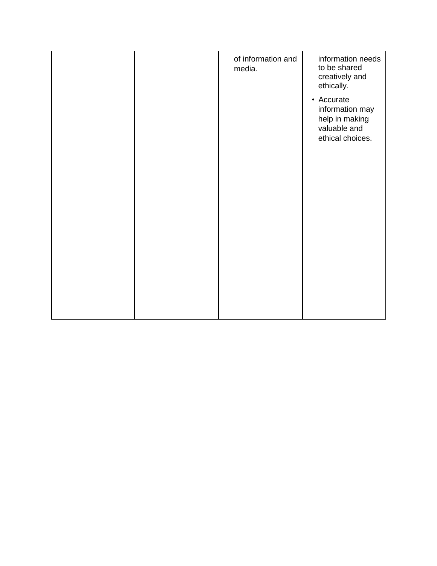|  | of information and<br>media. | information needs<br>to be shared<br>creatively and<br>ethically.<br>• Accurate<br>information may<br>help in making<br>valuable and<br>ethical choices. |
|--|------------------------------|----------------------------------------------------------------------------------------------------------------------------------------------------------|
|  |                              |                                                                                                                                                          |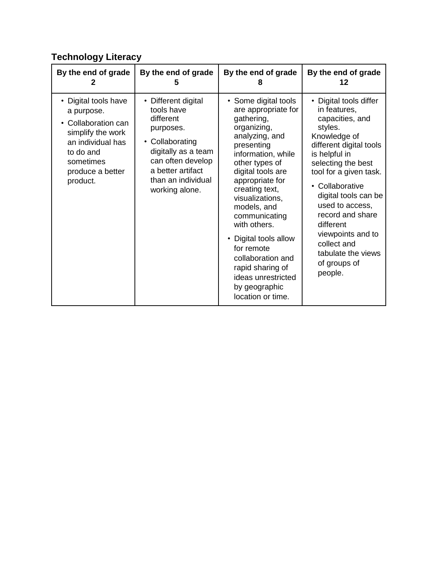## **Technology Literacy**

| By the end of grade                                                                                                                                       | By the end of grade                                                                                                                                                                     | By the end of grade                                                                                                                                                                                                                                                                                                                                                                                                       | By the end of grade                                                                                                                                                                                                                                                                                                                                                  |
|-----------------------------------------------------------------------------------------------------------------------------------------------------------|-----------------------------------------------------------------------------------------------------------------------------------------------------------------------------------------|---------------------------------------------------------------------------------------------------------------------------------------------------------------------------------------------------------------------------------------------------------------------------------------------------------------------------------------------------------------------------------------------------------------------------|----------------------------------------------------------------------------------------------------------------------------------------------------------------------------------------------------------------------------------------------------------------------------------------------------------------------------------------------------------------------|
| 2                                                                                                                                                         | 5                                                                                                                                                                                       | 8                                                                                                                                                                                                                                                                                                                                                                                                                         | 12                                                                                                                                                                                                                                                                                                                                                                   |
| Digital tools have<br>a purpose.<br>Collaboration can<br>simplify the work<br>an individual has<br>to do and<br>sometimes<br>produce a better<br>product. | • Different digital<br>tools have<br>different<br>purposes.<br>• Collaborating<br>digitally as a team<br>can often develop<br>a better artifact<br>than an individual<br>working alone. | • Some digital tools<br>are appropriate for<br>gathering,<br>organizing,<br>analyzing, and<br>presenting<br>information, while<br>other types of<br>digital tools are<br>appropriate for<br>creating text,<br>visualizations,<br>models, and<br>communicating<br>with others.<br>• Digital tools allow<br>for remote<br>collaboration and<br>rapid sharing of<br>ideas unrestricted<br>by geographic<br>location or time. | • Digital tools differ<br>in features,<br>capacities, and<br>styles.<br>Knowledge of<br>different digital tools<br>is helpful in<br>selecting the best<br>tool for a given task.<br>• Collaborative<br>digital tools can be<br>used to access,<br>record and share<br>different<br>viewpoints and to<br>collect and<br>tabulate the views<br>of groups of<br>people. |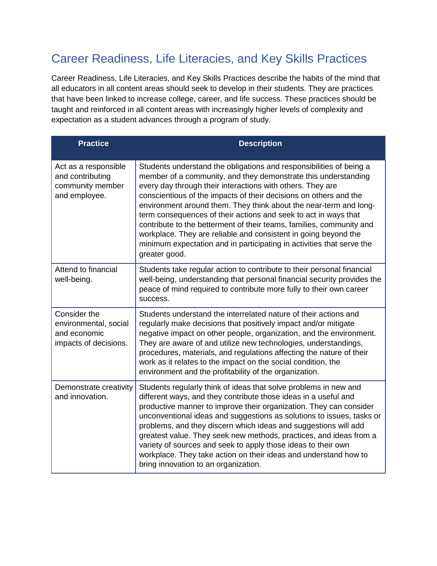## Career Readiness, Life Literacies, and Key Skills Practices

Career Readiness, Life Literacies, and Key Skills Practices describe the habits of the mind that all educators in all content areas should seek to develop in their students. They are practices that have been linked to increase college, career, and life success. These practices should be taught and reinforced in all content areas with increasingly higher levels of complexity and expectation as a student advances through a program of study.

| <b>Practice</b>                                                                | <b>Description</b>                                                                                                                                                                                                                                                                                                                                                                                                                                                                                                                                                                                                                                    |
|--------------------------------------------------------------------------------|-------------------------------------------------------------------------------------------------------------------------------------------------------------------------------------------------------------------------------------------------------------------------------------------------------------------------------------------------------------------------------------------------------------------------------------------------------------------------------------------------------------------------------------------------------------------------------------------------------------------------------------------------------|
| Act as a responsible<br>and contributing<br>community member<br>and employee.  | Students understand the obligations and responsibilities of being a<br>member of a community, and they demonstrate this understanding<br>every day through their interactions with others. They are<br>conscientious of the impacts of their decisions on others and the<br>environment around them. They think about the near-term and long-<br>term consequences of their actions and seek to act in ways that<br>contribute to the betterment of their teams, families, community and<br>workplace. They are reliable and consistent in going beyond the<br>minimum expectation and in participating in activities that serve the<br>greater good. |
| Attend to financial<br>well-being.                                             | Students take regular action to contribute to their personal financial<br>well-being, understanding that personal financial security provides the<br>peace of mind required to contribute more fully to their own career<br>success.                                                                                                                                                                                                                                                                                                                                                                                                                  |
| Consider the<br>environmental, social<br>and economic<br>impacts of decisions. | Students understand the interrelated nature of their actions and<br>regularly make decisions that positively impact and/or mitigate<br>negative impact on other people, organization, and the environment.<br>They are aware of and utilize new technologies, understandings,<br>procedures, materials, and regulations affecting the nature of their<br>work as it relates to the impact on the social condition, the<br>environment and the profitability of the organization.                                                                                                                                                                      |
| Demonstrate creativity<br>and innovation.                                      | Students regularly think of ideas that solve problems in new and<br>different ways, and they contribute those ideas in a useful and<br>productive manner to improve their organization. They can consider<br>unconventional ideas and suggestions as solutions to issues, tasks or<br>problems, and they discern which ideas and suggestions will add<br>greatest value. They seek new methods, practices, and ideas from a<br>variety of sources and seek to apply those ideas to their own<br>workplace. They take action on their ideas and understand how to<br>bring innovation to an organization.                                              |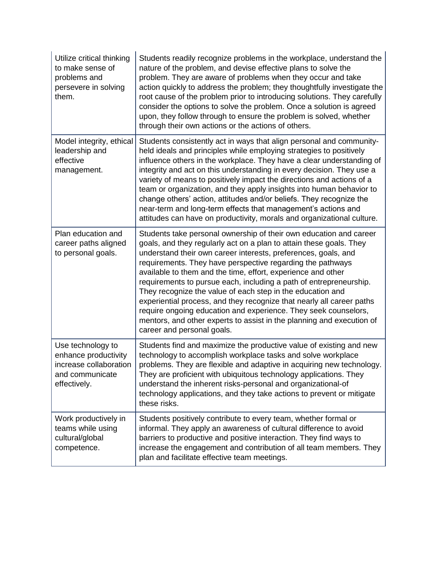| Utilize critical thinking<br>to make sense of<br>problems and<br>persevere in solving<br>them.         | Students readily recognize problems in the workplace, understand the<br>nature of the problem, and devise effective plans to solve the<br>problem. They are aware of problems when they occur and take<br>action quickly to address the problem; they thoughtfully investigate the<br>root cause of the problem prior to introducing solutions. They carefully<br>consider the options to solve the problem. Once a solution is agreed<br>upon, they follow through to ensure the problem is solved, whether<br>through their own actions or the actions of others.                                                                                                                                                              |
|--------------------------------------------------------------------------------------------------------|----------------------------------------------------------------------------------------------------------------------------------------------------------------------------------------------------------------------------------------------------------------------------------------------------------------------------------------------------------------------------------------------------------------------------------------------------------------------------------------------------------------------------------------------------------------------------------------------------------------------------------------------------------------------------------------------------------------------------------|
| Model integrity, ethical<br>leadership and<br>effective<br>management.                                 | Students consistently act in ways that align personal and community-<br>held ideals and principles while employing strategies to positively<br>influence others in the workplace. They have a clear understanding of<br>integrity and act on this understanding in every decision. They use a<br>variety of means to positively impact the directions and actions of a<br>team or organization, and they apply insights into human behavior to<br>change others' action, attitudes and/or beliefs. They recognize the<br>near-term and long-term effects that management's actions and<br>attitudes can have on productivity, morals and organizational culture.                                                                 |
| Plan education and<br>career paths aligned<br>to personal goals.                                       | Students take personal ownership of their own education and career<br>goals, and they regularly act on a plan to attain these goals. They<br>understand their own career interests, preferences, goals, and<br>requirements. They have perspective regarding the pathways<br>available to them and the time, effort, experience and other<br>requirements to pursue each, including a path of entrepreneurship.<br>They recognize the value of each step in the education and<br>experiential process, and they recognize that nearly all career paths<br>require ongoing education and experience. They seek counselors,<br>mentors, and other experts to assist in the planning and execution of<br>career and personal goals. |
| Use technology to<br>enhance productivity<br>increase collaboration<br>and communicate<br>effectively. | Students find and maximize the productive value of existing and new<br>technology to accomplish workplace tasks and solve workplace<br>problems. They are flexible and adaptive in acquiring new technology.<br>They are proficient with ubiquitous technology applications. They<br>understand the inherent risks-personal and organizational-of<br>technology applications, and they take actions to prevent or mitigate<br>these risks.                                                                                                                                                                                                                                                                                       |
| Work productively in<br>teams while using<br>cultural/global<br>competence.                            | Students positively contribute to every team, whether formal or<br>informal. They apply an awareness of cultural difference to avoid<br>barriers to productive and positive interaction. They find ways to<br>increase the engagement and contribution of all team members. They<br>plan and facilitate effective team meetings.                                                                                                                                                                                                                                                                                                                                                                                                 |